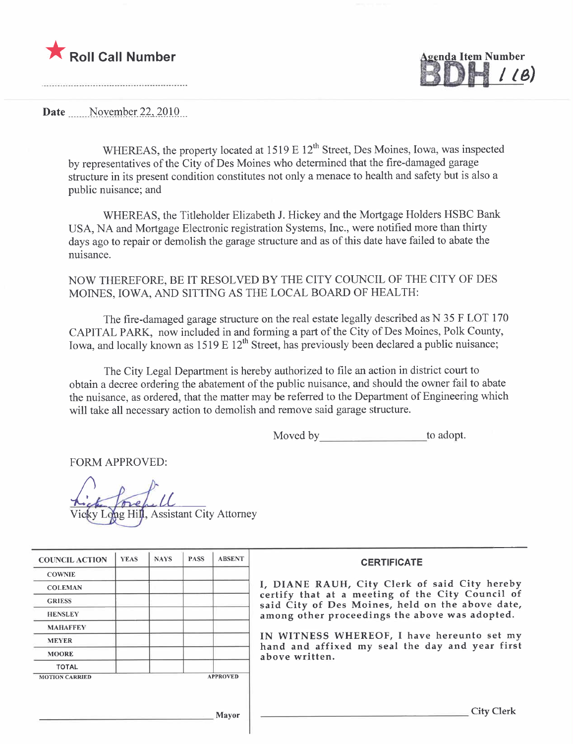

genda Item Number , IB)

Date .\_\_.\_\_\_\_NQ):~mR~r..~\_~~.iQl\_Q...

WHEREAS, the property located at  $1519 \text{ E } 12^{\text{th}}$  Street, Des Moines, Iowa, was inspected by representatives of the City of Des Moines who determined that the fire-damaged garage structure in its present condition constitutes not only a menace to health and safety but is also a public nuisance; and

WHEREAS, the Titleholder Elizabeth 1. Hickey and the Mortgage Holders HSBC Bank USA, NA and Mortgage Electronic registration Systems, Inc., were notified more than thirty days ago to repair or demolish the garage structure and as of this date have failed to abate the nuisance.

## NOW THEREFORE, BE IT RESOLVED BY THE CITY COUNCIL OF THE CITY OF DES MOINES, IOWA, AND SITTING AS THE LOCAL BOARD OF HEALTH:

The fire-damaged garage structure on the real estate legally described as N 35 F LOT 170 CAPITAL PARK, now included in and forming a part of the City of Des Moines, Polk County, Iowa, and locally known as  $1519 \text{ E } 12^{\text{th}}$  Street, has previously been declared a public nuisance;

The City Legal Department is hereby authorized to file an action in district court to obtain a decree ordering the abatement of the public nuisance, and should the owner fail to abate the nuisance, as ordered, that the matter may be referred to the Department of Engineering which will take all necessary action to demolish and remove said garage structure.

Moved by to adopt.

FORM APPROVED:

ong Hill, Assistant City Attorney

| <b>COUNCIL ACTION</b> | <b>YEAS</b> | <b>NAYS</b> | <b>PASS</b> | <b>ABSENT</b>   | <b>CERTIFICATE</b>                                                                                   |
|-----------------------|-------------|-------------|-------------|-----------------|------------------------------------------------------------------------------------------------------|
| <b>COWNIE</b>         |             |             |             |                 |                                                                                                      |
| <b>COLEMAN</b>        |             |             |             |                 | I, DIANE RAUH, City Clerk of said City hereby                                                        |
| <b>GRIESS</b>         |             |             |             |                 | certify that at a meeting of the City Council of<br>said City of Des Moines, held on the above date, |
| <b>HENSLEY</b>        |             |             |             |                 | among other proceedings the above was adopted.                                                       |
| <b>MAHAFFEY</b>       |             |             |             |                 |                                                                                                      |
| <b>MEYER</b>          |             |             |             |                 | IN WITNESS WHEREOF, I have hereunto set my<br>hand and affixed my seal the day and year first        |
| <b>MOORE</b>          |             |             |             |                 | above written.                                                                                       |
| <b>TOTAL</b>          |             |             |             |                 |                                                                                                      |
| <b>MOTION CARRIED</b> |             |             |             | <b>APPROVED</b> |                                                                                                      |
|                       |             |             |             |                 |                                                                                                      |
|                       |             |             |             | Mavor           | City <sup>-</sup>                                                                                    |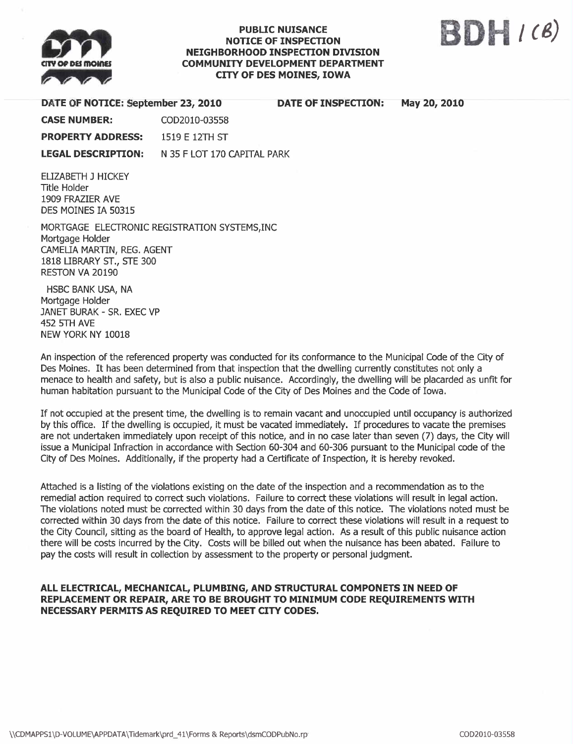

### PUBLIC NUISANCE NOTICE OF INSPECTION NEIGHBORHOOD INSPECTION DIVISION COMMUNITY DEVELOPMENT DEPARTMENT CITY OF DES MOINES, IOWA



| DATE OF NOTICE: September 23, 2010                                                                                                                    |                             | <b>DATE OF INSPECTION:</b> | May 20, 2010 |
|-------------------------------------------------------------------------------------------------------------------------------------------------------|-----------------------------|----------------------------|--------------|
| <b>CASE NUMBER:</b>                                                                                                                                   | COD2010-03558               |                            |              |
| <b>PROPERTY ADDRESS:</b>                                                                                                                              | 1519 E 12TH ST              |                            |              |
| <b>LEGAL DESCRIPTION:</b>                                                                                                                             | N 35 F LOT 170 CAPITAL PARK |                            |              |
| ELIZABETH J HICKEY<br>Title Holder<br>1909 FRAZIER AVE<br>DES MOINES IA 50315                                                                         |                             |                            |              |
| MORTGAGE ELECTRONIC REGISTRATION SYSTEMS, INC<br>Mortgage Holder<br>CAMELIA MARTIN, REG. AGENT<br>1818 LIBRARY ST., STE 300<br><b>RESTON VA 20190</b> |                             |                            |              |

HSBC BANK USA, NA Mortgage Holder JANET BURAK - SR. EXEC VP 452 5TH AVE NEW YORK NY 10018

An inspection of the referenced property was conducted for its conformance to the Municipal Code of the City of Des Moines. It has been determined from that inspection that the dwelling currently constitutes not only a menace to health and safety, but is also a public nuisance. Accordingly, the dwelling will be placarded as unfit for human habitation pursuant to the Municipal Code of the City of Des Moines and the Code of Iowa.

If not occupied at the present time, the dwelling is to remain vacant and unoccupied until occupancy is authorized by this office. If the dwelling is occupied, it must be vacated immediately. If procedures to vacate the premises are not undertaken immediately upon receipt of this notice, and in no case later than seven (7) days, the City will issue a Municipal Infraction in accordance with Section 60-304 and 60-306 pursuant to the Municipal code of the City of Des Moines. Additionally, if the property had a Certificate of Inspection, it is hereby revoked.

Attached is a listing of the violations existing on the date of the inspection and a recommendation as to the remedial action required to correct such violations. Failure to correct these violations will result in legal action. The violations noted must be corrected within 30 days from the date of this notice. The violations noted must be corrected within 30 days from the date of this notice. Failure to correct these violations will result in a request to the City Council, sitting as the board of Health, to approve legal action. As a result of this public nuisance action there wil be costs incurred by the City. Costs wil be biled out when the nuisance has been abated. Failure to pay the costs will result in collection by assessment to the property or personal judgment.

## ALL ELECTRICAL, MECHANICAL, PLUMBING, AND STRUCTURAL COMPONETS IN NEED OF REPLACEMENT OR REPAIR, ARE TO BE BROUGHT TO MINIMUM CODE REQUIREMENTS WITH NECESSARY PERMITS AS REQUIRED TO MEET CITY CODES.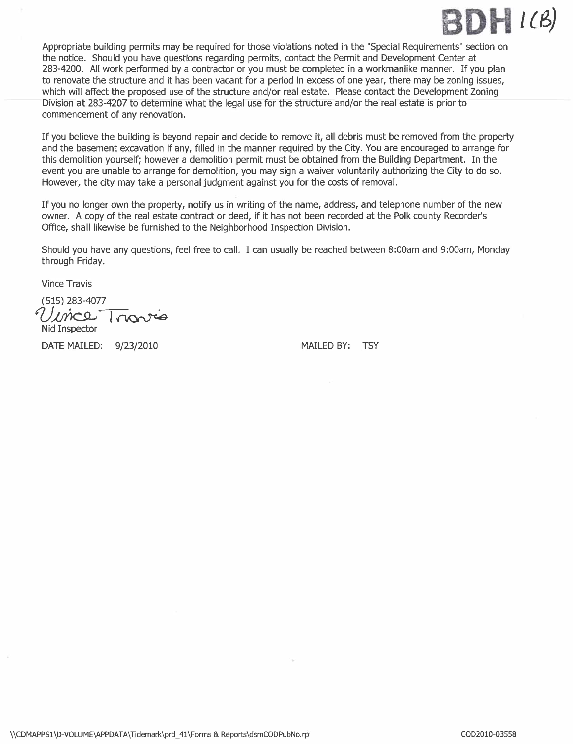

Appropriate building permits may be required for those violations noted in the "Special Requirements" section on the notice. Should you have questions regarding permits, contact the Permit and Development Center at 283-4200. All work performed by a contractor or you must be completed in a workmanlike manner. If you plan to renovate the structure and it has been vacant for a period in excess of one year, there may be zoning issues, which will affect the proposed use of the structure and/or real estate. Please contact the Development Zoning Division at 283-4207 to determine what the legal use for the structure and/or the real estate is prior to commencement of any renovation.

If you believe the building is beyond repair and decide to remove it, all debris must be removed from the propert and the basement excavation if any, filled in the manner required by the City. You are encouraged to arrange for this demolition yourself; however a demolition permit must be obtained from the Building Department. In the event you are unable to arrange for demolition, you may sign a waiver voluntarily authorizing the City to do so. However, the city may take a personal judgment against you for the costs of removal.

If you no longer own the property, notify us in writing of the name, address, and telephone number of the new owner. A copy of the real estate contract or deed, if it has not been recorded at the Polk county Recorder's Office, shall likewise be furnished to the Neighborhood Inspection Division.

Should you have any questions, feel free to calL. I can usually be reached between 8:00am and 9:00am, Monday through Friday.

Vince Travis

(515) 283-4077<br>Vince Trionics Nid Inspector

DATE MAILED: 9/23/2010 MAILED BY: TSY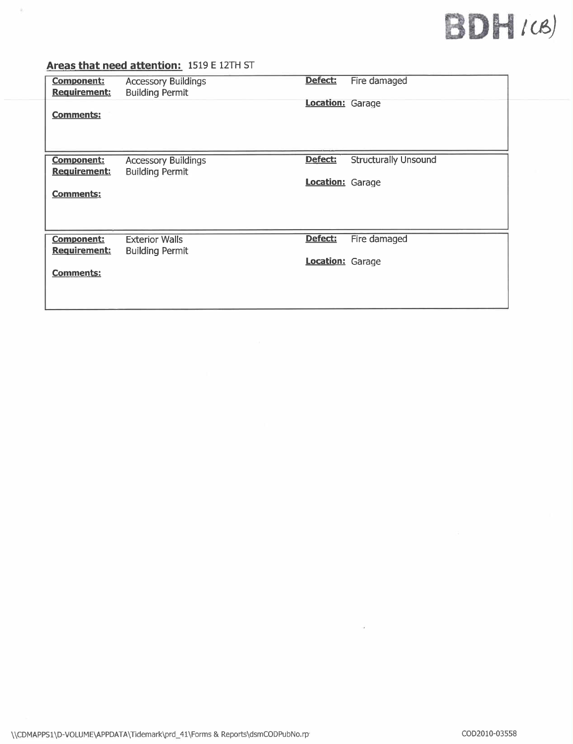# $BDH/(8)$

# Areas that need attention: 1519 E 12TH ST

 $\lambda$ 

| <b>Component:</b><br>Requirement:        | <b>Accessory Buildings</b><br><b>Building Permit</b> | Defect:<br><b>Location: Garage</b> | Fire damaged                |  |
|------------------------------------------|------------------------------------------------------|------------------------------------|-----------------------------|--|
| <b>Comments:</b>                         |                                                      |                                    |                             |  |
| <b>Component:</b><br><b>Requirement:</b> | <b>Accessory Buildings</b><br><b>Building Permit</b> | Defect:                            | <b>Structurally Unsound</b> |  |
| <b>Comments:</b>                         |                                                      | Location: Garage                   |                             |  |
| <b>Component:</b><br>Requirement:        | <b>Exterior Walls</b><br><b>Building Permit</b>      | Defect:                            | Fire damaged                |  |
| <b>Comments:</b>                         |                                                      | Location: Garage                   |                             |  |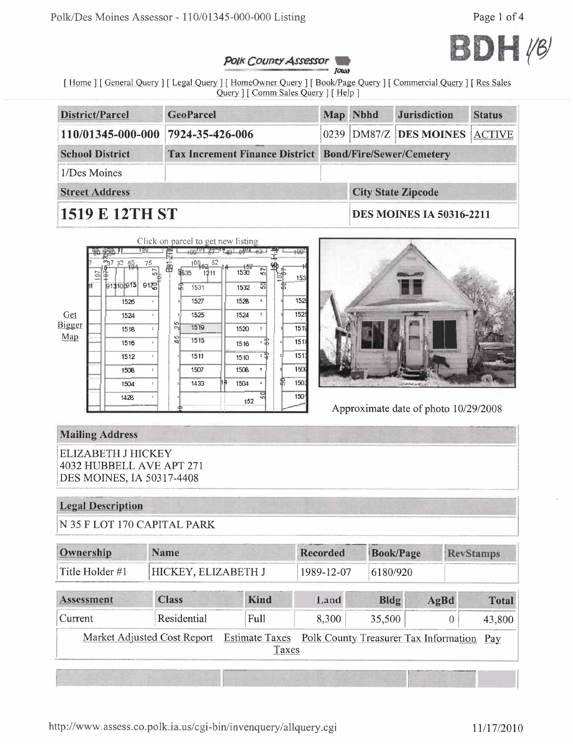

#### Polk County Assessor JOWN

[Home] [General Query] [Legal Query] [HomeOwner Query] [Book/Page Query] [Commercial Query] [Res Sales Query ] [ Comm Sales Query ] [ Help ]

| District/Parcel        | <b>GeoParcel</b>                                               |  | Map Nbhd                        | <b>Jurisdiction</b>           | <b>Status</b> |
|------------------------|----------------------------------------------------------------|--|---------------------------------|-------------------------------|---------------|
| 110/01345-000-000      | 7924-35-426-006                                                |  |                                 | 0239 DM87/Z DES MOINES ACTIVE |               |
| <b>School District</b> | <b>Tax Increment Finance District Bond/Fire/Sewer/Cemetery</b> |  |                                 |                               |               |
| 1/Des Moines           |                                                                |  |                                 |                               |               |
| <b>Street Address</b>  |                                                                |  |                                 | <b>City State Zipcode</b>     |               |
| <b>1519 E 12TH ST</b>  |                                                                |  | <b>DES MOINES IA 50316-2211</b> |                               |               |

|               |   |                   | 10U                     |         | Click on parcel to get new listing |    |               |    |      |
|---------------|---|-------------------|-------------------------|---------|------------------------------------|----|---------------|----|------|
|               |   |                   |                         |         | $+00^{12}$                         |    | 0.004         |    | +00  |
|               | Ξ | <b>37 32</b><br>辊 | 75<br>ĥ,                | 函       | 100.<br>第35<br>11                  | 52 | $+52$<br>1536 | 57 | 153  |
|               |   | 913105915         | $91\frac{1}{10}$        |         | 1531                               |    | 1532          | 50 |      |
|               |   | 1526              | $\ddot{\phantom{a}}$    |         | 1527                               |    | 1528          | ÷  | 152  |
| Get           |   | 1524              | ÷                       |         | 1525                               |    | 1524          | ٠  | 152  |
| <b>Bigger</b> |   | 1518              | ÷                       | 읣       | 1519                               |    | 1520          | ٠  | 151  |
| Map           |   | 1516              | $\overline{\mathbf{z}}$ | 40<br>哅 | 1515                               |    | 1516          | 谓  | 1517 |
|               |   | 1512              | z.                      |         | 1511                               |    | 1510          |    | 1511 |
|               |   | 1508              | t.                      |         | 1507                               |    | 1508          | ÷  | 1509 |
|               |   | 1504              | ÷                       |         | 1433                               |    | 1504          | ÷  | 150. |
|               |   | 1428              | î.                      | Ф       |                                    |    | 152           | 문  | 1501 |



Approximate date of photo 10/29/2008

# **Mailing Address**

**ELIZABETH J HICKEY** 4032 HUBBELL AVE APT 271 DES MOINES, IA 50317-4408

## **Legal Description**

N 35 F LOT 170 CAPITAL PARK

| Ownership       | <b>Name</b>          | Recorded   | <b>Book/Page</b> | <b>RevStamps</b> |
|-----------------|----------------------|------------|------------------|------------------|
| Title Holder #1 | 'HICKEY, ELIZABETH J | 1989-12-07 | 6180/920         |                  |

| <b>Assessment</b>                                                                             | <b>Class</b> | Kind | Land  | Bldg   | AgBd | <b>Total</b> |  |
|-----------------------------------------------------------------------------------------------|--------------|------|-------|--------|------|--------------|--|
| Current                                                                                       | Residential  | Full | 8,300 | 35,500 |      | 43,800       |  |
| Market Adjusted Cost Report Estimate Taxes Polk County Treasurer Tax Information Pay<br>Taxes |              |      |       |        |      |              |  |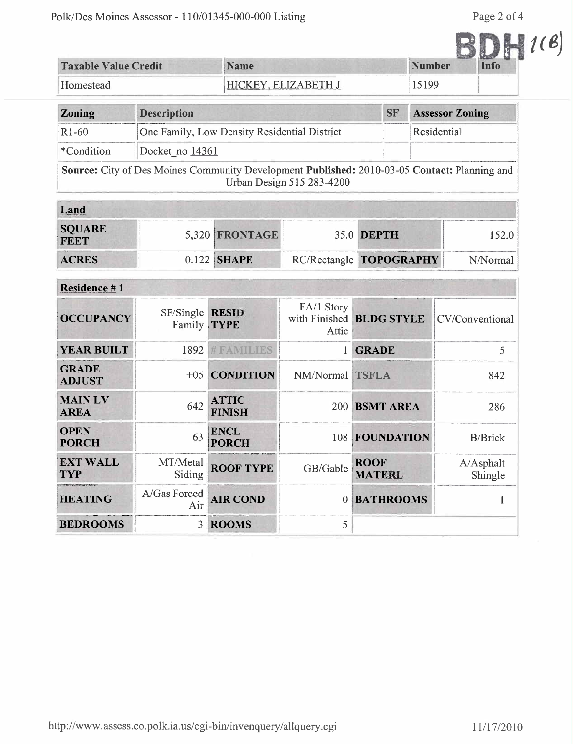|                             |                          |               |      | $\mathcal{C}$ |
|-----------------------------|--------------------------|---------------|------|---------------|
| <b>Taxable Value Credit</b> | <b>Name</b>              | <b>Number</b> | Info |               |
| Homestead                   | V ELIZABETH J<br>HICKEY. | 5199          |      |               |

| <b>Zoning</b> | <b>Description</b>                                                                           | <b>SF</b> | <b>Assessor Zoning</b> |
|---------------|----------------------------------------------------------------------------------------------|-----------|------------------------|
| $R1-60$       | One Family, Low Density Residential District                                                 |           | Residential            |
| *Condition    | Docket no 14361                                                                              |           |                        |
|               | Source: City of Des Moines Community Development Published: 2010-03-05 Contact: Planning and |           |                        |

Urban Design 515 283-4200

| Land                         |  |                |  |                         |          |  |  |
|------------------------------|--|----------------|--|-------------------------|----------|--|--|
| <b>SQUARE</b><br><b>FEET</b> |  | 5,320 FRONTAGE |  | 35.0 DEPTH              | 152.0    |  |  |
| <b>ACRES</b>                 |  | $0.122$ SHAPE  |  | RC/Rectangle TOPOGRAPHY | N/Normal |  |  |

| Residence #1                  |                                |                               |                     |                              |                      |
|-------------------------------|--------------------------------|-------------------------------|---------------------|------------------------------|----------------------|
| <b>OCCUPANCY</b>              | SF/Single RESID<br>Family TYPE |                               | FA/1 Story<br>Attic | with Finished BLDG STYLE     | CV/Conventional      |
| <b>YEAR BUILT</b>             | 1892                           | <b>#FAMILIES</b>              |                     | <b>GRADE</b>                 | 5                    |
| <b>GRADE</b><br><b>ADJUST</b> | $+0.5$                         | <b>CONDITION</b>              | NM/Normal TSFLA     |                              | 842                  |
| <b>MAIN LV</b><br><b>AREA</b> | 642                            | <b>ATTIC</b><br><b>FINISH</b> | <b>200</b>          | <b>BSMT AREA</b>             | 286                  |
| <b>OPEN</b><br><b>PORCH</b>   | 63                             | <b>ENCL</b><br><b>PORCH</b>   |                     | 108 FOUNDATION               | <b>B/Brick</b>       |
| <b>EXT WALL</b><br><b>TYP</b> | MT/Metal<br>Siding             | <b>ROOF TYPE</b>              | GB/Gable            | <b>ROOF</b><br><b>MATERL</b> | A/Asphalt<br>Shingle |
| <b>HEATING</b>                | A/Gas Forced<br>Air            | <b>AIR COND</b>               | $\Omega$            | <b>BATHROOMS</b>             |                      |
| <b>BEDROOMS</b>               | 3                              | <b>ROOMS</b>                  | 5                   |                              |                      |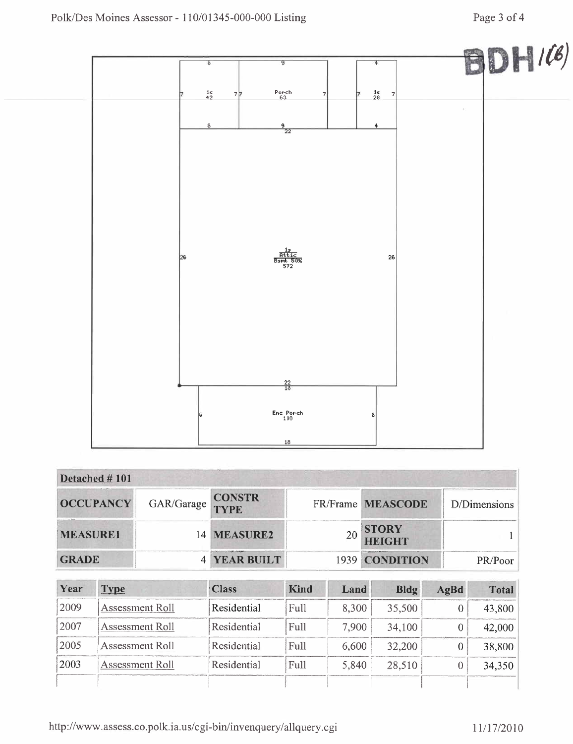

| Detached #101    |                   |                     |                        |              |
|------------------|-------------------|---------------------|------------------------|--------------|
| <b>OCCUPANCY</b> | GAR/Garage CONSTR |                     | FR/Frame MEASCODE      | D/Dimensions |
| <b>MEASURE1</b>  |                   | 14 MEASURE2         | <b>STORY</b><br>HEIGHT |              |
| <b>GRADE</b>     |                   | <b>4 YEAR BUILT</b> | 1939 CONDITION         | PR/Poor      |

| Year | <b>Type</b>     | <b>Class</b> | Kind | Land  | Bldg   | AgBd | <b>Total</b> |
|------|-----------------|--------------|------|-------|--------|------|--------------|
| 2009 | Assessment Roll | Residential  | Full | 8,300 | 35,500 |      | 43,800       |
| 2007 | Assessment Roll | Residential  | Full | 7.900 | 34,100 |      | 42,000       |
| 2005 | Assessment Roll | Residential  | Full | 6,600 | 32,200 |      | 38,800       |
| 2003 | Assessment Roll | Residential  | Full | 5,840 | 28,510 |      | 34,350       |
|      |                 |              |      |       |        |      |              |